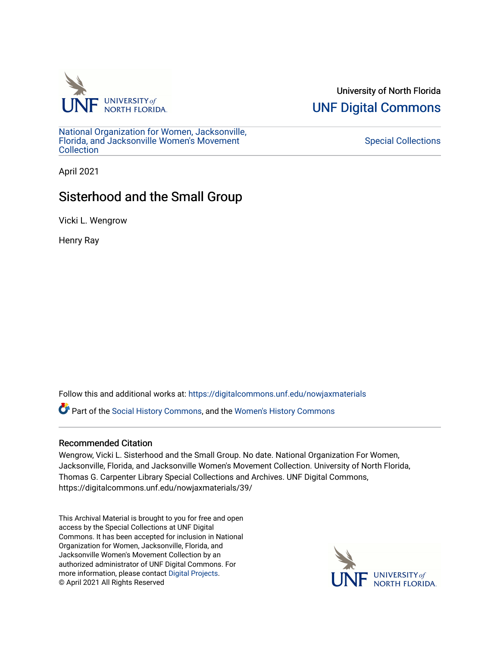

University of North Florida [UNF Digital Commons](https://digitalcommons.unf.edu/) 

[National Organization for Women, Jacksonville,](https://digitalcommons.unf.edu/nowjaxmaterials) [Florida, and Jacksonville Women's Movement](https://digitalcommons.unf.edu/nowjaxmaterials) **Collection** 

## [Special Collections](https://digitalcommons.unf.edu/special_collections)

April 2021

## Sisterhood and the Small Group

Vicki L. Wengrow

Henry Ray

Follow this and additional works at: [https://digitalcommons.unf.edu/nowjaxmaterials](https://digitalcommons.unf.edu/nowjaxmaterials?utm_source=digitalcommons.unf.edu%2Fnowjaxmaterials%2F39&utm_medium=PDF&utm_campaign=PDFCoverPages) 

Part of the [Social History Commons](http://network.bepress.com/hgg/discipline/506?utm_source=digitalcommons.unf.edu%2Fnowjaxmaterials%2F39&utm_medium=PDF&utm_campaign=PDFCoverPages), and the [Women's History Commons](http://network.bepress.com/hgg/discipline/507?utm_source=digitalcommons.unf.edu%2Fnowjaxmaterials%2F39&utm_medium=PDF&utm_campaign=PDFCoverPages)

## Recommended Citation

Wengrow, Vicki L. Sisterhood and the Small Group. No date. National Organization For Women, Jacksonville, Florida, and Jacksonville Women's Movement Collection. University of North Florida, Thomas G. Carpenter Library Special Collections and Archives. UNF Digital Commons, https://digitalcommons.unf.edu/nowjaxmaterials/39/

This Archival Material is brought to you for free and open access by the Special Collections at UNF Digital Commons. It has been accepted for inclusion in National Organization for Women, Jacksonville, Florida, and Jacksonville Women's Movement Collection by an authorized administrator of UNF Digital Commons. For more information, please contact [Digital Projects](mailto:lib-digital@unf.edu). © April 2021 All Rights Reserved

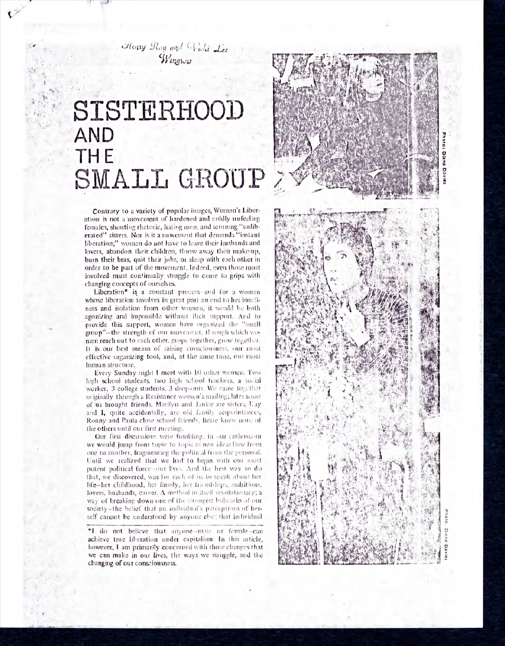Henry Ray and Wicki Lee Wingwird

## **SISTERI-IOOD** . **AND THE SMALL GROUP**

Contrary to a variety of popular images, Women's Liberation is not a movement of hardened and coldly unfeeling females, shouting rhetoric, hating men, and scorning "unliberated" sisters. Nor is it a movement that demands "instant liberation;" women do not have to leave their husbands and lovers, abandon their children, throw away their make-up, burn their bras, quit their jobs, or sleep with each other in order to be part of the movement. Indeed, even those most involved must continually struggle to come to grips with changing concepts of ourselves.

Liberation\* is a constant process-and for a woman whose liberation involves in great part an end to her loneliness and isolation from other women, it would be both agonizing and impossible without their support. And to provide this support, women have organized the "small group" -the strength of our movement, through which women reach out to each other, grope together, grow together. It is our best means of raising consciousness, our most effective organizing tool, and, at the sarne time, our most human structure.

Every Sunday night I meet with 10 other women. Two high school students, two high school teachers, a social worker, 3 college students, 3 drop-outs. We came together originally through a Resistance women's mailing; later some of us brought friends. Marilyn and Janice are sisters, Kay and I, quite accidentally, arc old family acquaintances, Ronny and Paula close school friends, Bette knew none of the others until our first meeting.

Our first discussions were fumbling, in our enthusiasm we would jump from topic to topic as new ideas flew from one to another, fragmenting the political from the personal. Until we realized that we had to begin with our most potent political force -our lives. And the best way to do that, we discovered, was for each of us to speak about her life-her childhood, her family, her friendships, ambitions, lovers, husbands, career. A method in itself revolutionary; a way of breaking down one of the strongest bulwarks of our society-the belief that an individual's perceptions of herself cannot be understood by anyone else; that individual

**\*I** do not believe that anyone--male or female--can achieve true liberation under capitalism. In this article, however, I am primarily concerned with those changes that we can make in our lives, the ways we struggle, and the changing of our consciousness.